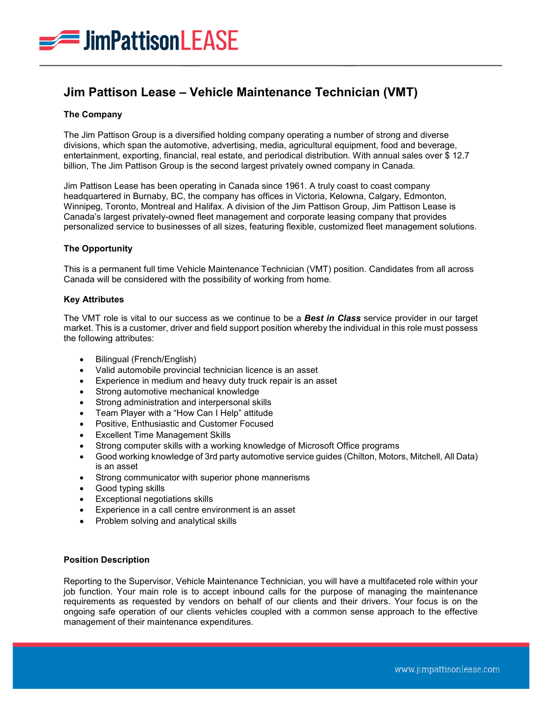

# **Jim Pattison Lease – Vehicle Maintenance Technician (VMT)**

## **The Company**

The Jim Pattison Group is a diversified holding company operating a number of strong and diverse divisions, which span the automotive, advertising, media, agricultural equipment, food and beverage, entertainment, exporting, financial, real estate, and periodical distribution. With annual sales over \$ 12.7 billion, The Jim Pattison Group is the second largest privately owned company in Canada.

Jim Pattison Lease has been operating in Canada since 1961. A truly coast to coast company headquartered in Burnaby, BC, the company has offices in Victoria, Kelowna, Calgary, Edmonton, Winnipeg, Toronto, Montreal and Halifax. A division of the Jim Pattison Group, Jim Pattison Lease is Canada's largest privately-owned fleet management and corporate leasing company that provides personalized service to businesses of all sizes, featuring flexible, customized fleet management solutions.

## **The Opportunity**

This is a permanent full time Vehicle Maintenance Technician (VMT) position. Candidates from all across Canada will be considered with the possibility of working from home.

#### **Key Attributes**

The VMT role is vital to our success as we continue to be a *Best in Class* service provider in our target market. This is a customer, driver and field support position whereby the individual in this role must possess the following attributes:

- Bilingual (French/English)
- Valid automobile provincial technician licence is an asset
- Experience in medium and heavy duty truck repair is an asset
- Strong automotive mechanical knowledge
- Strong administration and interpersonal skills
- Team Player with a "How Can I Help" attitude
- Positive, Enthusiastic and Customer Focused
- Excellent Time Management Skills
- Strong computer skills with a working knowledge of Microsoft Office programs
- Good working knowledge of 3rd party automotive service guides (Chilton, Motors, Mitchell, All Data) is an asset
- Strong communicator with superior phone mannerisms
- Good typing skills
- Exceptional negotiations skills
- Experience in a call centre environment is an asset
- Problem solving and analytical skills

#### **Position Description**

Reporting to the Supervisor, Vehicle Maintenance Technician, you will have a multifaceted role within your job function. Your main role is to accept inbound calls for the purpose of managing the maintenance requirements as requested by vendors on behalf of our clients and their drivers. Your focus is on the ongoing safe operation of our clients vehicles coupled with a common sense approach to the effective management of their maintenance expenditures.